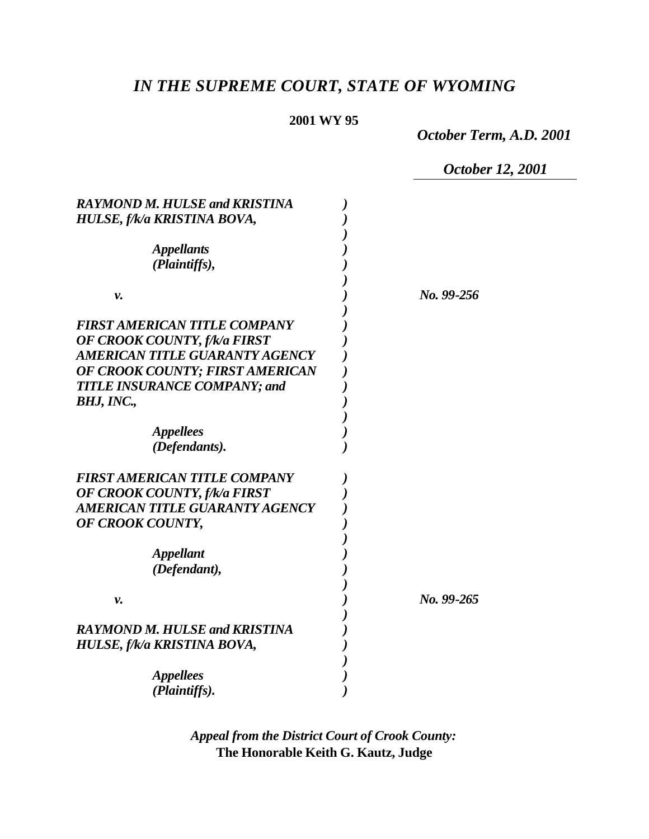# *IN THE SUPREME COURT, STATE OF WYOMING*

# **2001 WY 95**

*October Term, A.D. 2001*

*October 12, 2001*

| <b>RAYMOND M. HULSE and KRISTINA</b> |            |  |
|--------------------------------------|------------|--|
| HULSE, f/k/a KRISTINA BOVA,          |            |  |
|                                      |            |  |
| <b>Appellants</b>                    |            |  |
| (Plaintiffs),                        |            |  |
|                                      |            |  |
| v.                                   | No. 99-256 |  |
|                                      |            |  |
| <b>FIRST AMERICAN TITLE COMPANY</b>  |            |  |
| OF CROOK COUNTY, f/k/a FIRST         |            |  |
| AMERICAN TITLE GUARANTY AGENCY       |            |  |
| OF CROOK COUNTY; FIRST AMERICAN      |            |  |
| <b>TITLE INSURANCE COMPANY; and</b>  |            |  |
| BHJ, INC.,                           |            |  |
|                                      |            |  |
| <b>Appellees</b>                     |            |  |
| (Defendants).                        |            |  |
|                                      |            |  |
| <b>FIRST AMERICAN TITLE COMPANY</b>  |            |  |
| OF CROOK COUNTY, f/k/a FIRST         |            |  |
| AMERICAN TITLE GUARANTY AGENCY       |            |  |
| OF CROOK COUNTY,                     |            |  |
|                                      |            |  |
| <b>Appellant</b>                     |            |  |
| (Defendant),                         |            |  |
|                                      |            |  |
| ν.                                   | No. 99-265 |  |
|                                      |            |  |
| <b>RAYMOND M. HULSE and KRISTINA</b> |            |  |
| HULSE, f/k/a KRISTINA BOVA,          |            |  |
|                                      |            |  |
| <i>Appellees</i>                     |            |  |
| (Plaintiffs).                        |            |  |

*Appeal from the District Court of Crook County:* **The Honorable Keith G. Kautz, Judge**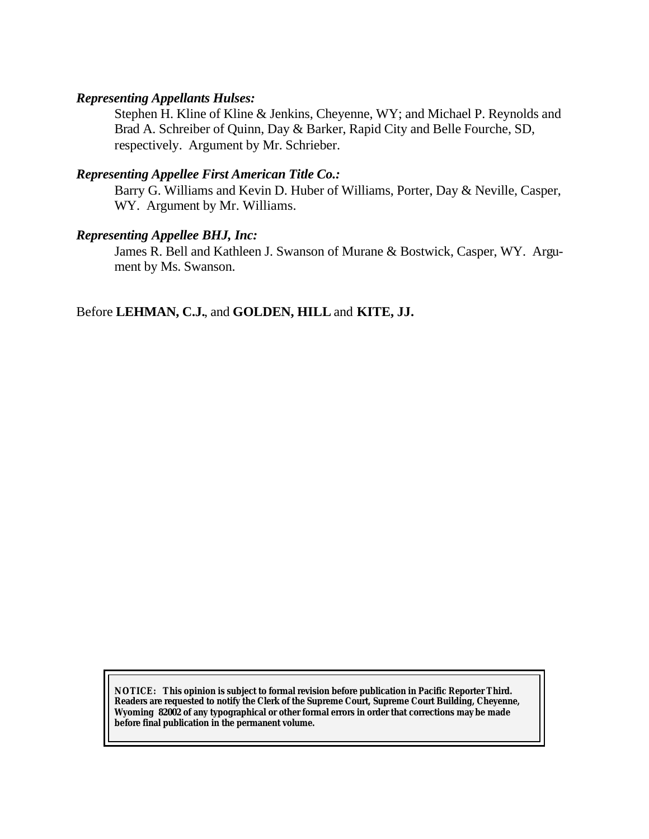#### *Representing Appellants Hulses:*

Stephen H. Kline of Kline & Jenkins, Cheyenne, WY; and Michael P. Reynolds and Brad A. Schreiber of Quinn, Day & Barker, Rapid City and Belle Fourche, SD, respectively. Argument by Mr. Schrieber.

### *Representing Appellee First American Title Co.:*

Barry G. Williams and Kevin D. Huber of Williams, Porter, Day & Neville, Casper, WY. Argument by Mr. Williams.

### *Representing Appellee BHJ, Inc:*

James R. Bell and Kathleen J. Swanson of Murane & Bostwick, Casper, WY. Argument by Ms. Swanson.

Before **LEHMAN, C.J.**, and **GOLDEN, HILL** and **KITE, JJ.**

**NOTICE:** *This opinion is subject to formal revision before publication in Pacific Reporter Third. Readers are requested to notify the Clerk of the Supreme Court, Supreme Court Building, Cheyenne, Wyoming 82002 of any typographical or other formal errors in order that corrections may be made before final publication in the permanent volume.*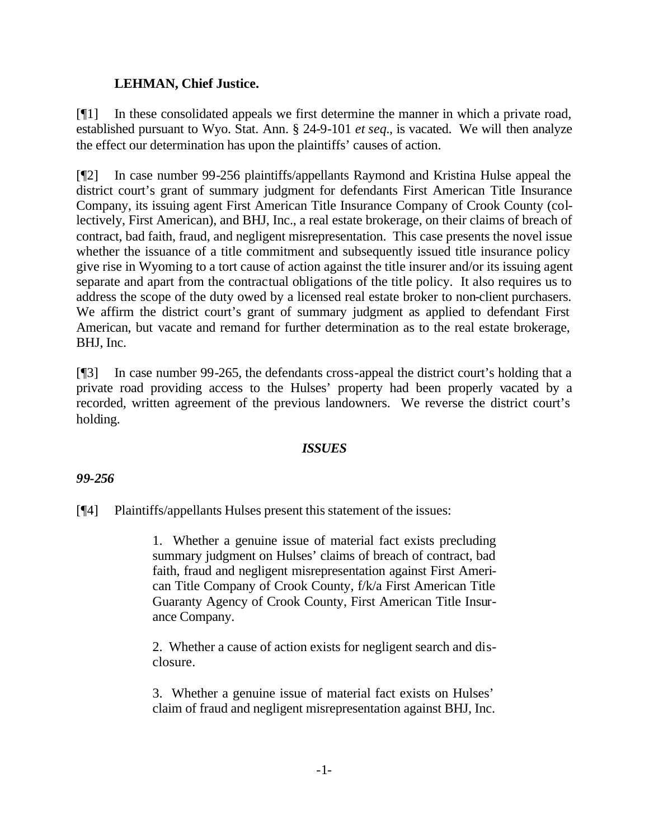## **LEHMAN, Chief Justice.**

[¶1] In these consolidated appeals we first determine the manner in which a private road, established pursuant to Wyo. Stat. Ann. § 24-9-101 *et seq.*, is vacated. We will then analyze the effect our determination has upon the plaintiffs' causes of action.

[¶2] In case number 99-256 plaintiffs/appellants Raymond and Kristina Hulse appeal the district court's grant of summary judgment for defendants First American Title Insurance Company, its issuing agent First American Title Insurance Company of Crook County (collectively, First American), and BHJ, Inc., a real estate brokerage, on their claims of breach of contract, bad faith, fraud, and negligent misrepresentation. This case presents the novel issue whether the issuance of a title commitment and subsequently issued title insurance policy give rise in Wyoming to a tort cause of action against the title insurer and/or its issuing agent separate and apart from the contractual obligations of the title policy. It also requires us to address the scope of the duty owed by a licensed real estate broker to non-client purchasers. We affirm the district court's grant of summary judgment as applied to defendant First American, but vacate and remand for further determination as to the real estate brokerage, BHJ, Inc.

[¶3] In case number 99-265, the defendants cross-appeal the district court's holding that a private road providing access to the Hulses' property had been properly vacated by a recorded, written agreement of the previous landowners. We reverse the district court's holding.

### *ISSUES*

### *99-256*

[¶4] Plaintiffs/appellants Hulses present this statement of the issues:

1. Whether a genuine issue of material fact exists precluding summary judgment on Hulses' claims of breach of contract, bad faith, fraud and negligent misrepresentation against First American Title Company of Crook County, f/k/a First American Title Guaranty Agency of Crook County, First American Title Insurance Company.

2. Whether a cause of action exists for negligent search and disclosure.

3. Whether a genuine issue of material fact exists on Hulses' claim of fraud and negligent misrepresentation against BHJ, Inc.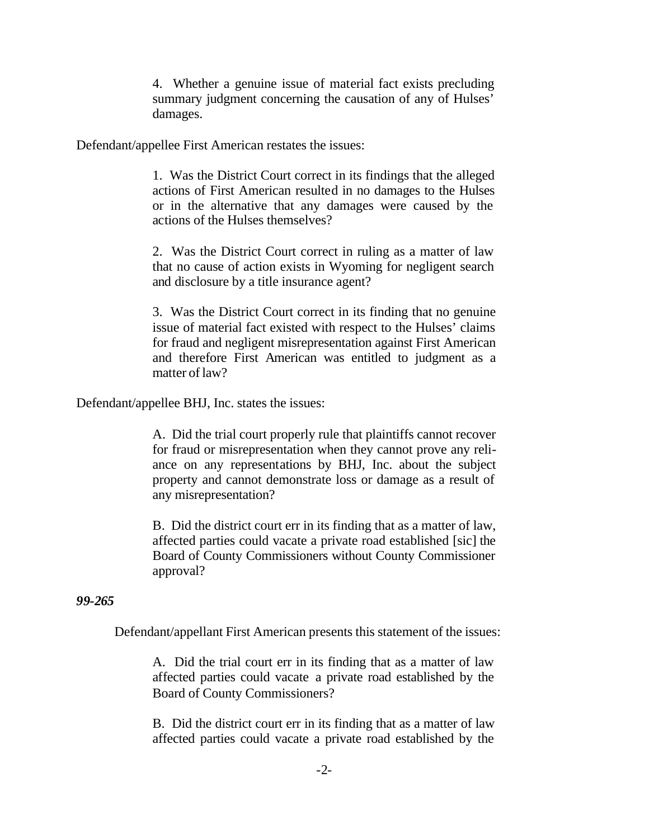4. Whether a genuine issue of material fact exists precluding summary judgment concerning the causation of any of Hulses' damages.

Defendant/appellee First American restates the issues:

1. Was the District Court correct in its findings that the alleged actions of First American resulted in no damages to the Hulses or in the alternative that any damages were caused by the actions of the Hulses themselves?

2. Was the District Court correct in ruling as a matter of law that no cause of action exists in Wyoming for negligent search and disclosure by a title insurance agent?

3. Was the District Court correct in its finding that no genuine issue of material fact existed with respect to the Hulses' claims for fraud and negligent misrepresentation against First American and therefore First American was entitled to judgment as a matter of law?

Defendant/appellee BHJ, Inc. states the issues:

A. Did the trial court properly rule that plaintiffs cannot recover for fraud or misrepresentation when they cannot prove any reliance on any representations by BHJ, Inc. about the subject property and cannot demonstrate loss or damage as a result of any misrepresentation?

B. Did the district court err in its finding that as a matter of law, affected parties could vacate a private road established [sic] the Board of County Commissioners without County Commissioner approval?

#### *99-265*

Defendant/appellant First American presents this statement of the issues:

A. Did the trial court err in its finding that as a matter of law affected parties could vacate a private road established by the Board of County Commissioners?

B. Did the district court err in its finding that as a matter of law affected parties could vacate a private road established by the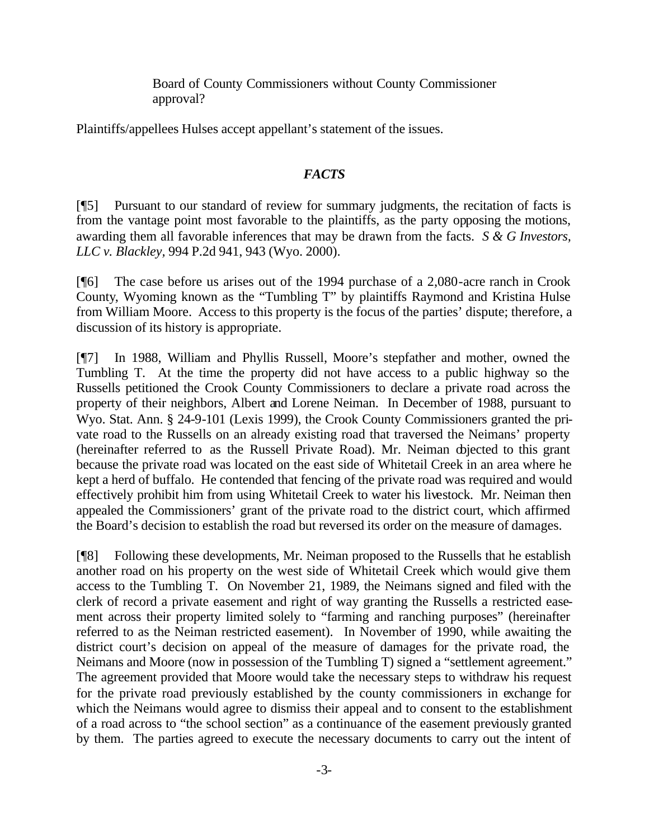Board of County Commissioners without County Commissioner approval?

Plaintiffs/appellees Hulses accept appellant's statement of the issues.

### *FACTS*

[¶5] Pursuant to our standard of review for summary judgments, the recitation of facts is from the vantage point most favorable to the plaintiffs, as the party opposing the motions, awarding them all favorable inferences that may be drawn from the facts. *S & G Investors, LLC v. Blackley,* 994 P.2d 941, 943 (Wyo. 2000).

[¶6] The case before us arises out of the 1994 purchase of a 2,080-acre ranch in Crook County, Wyoming known as the "Tumbling T" by plaintiffs Raymond and Kristina Hulse from William Moore. Access to this property is the focus of the parties' dispute; therefore, a discussion of its history is appropriate.

[¶7] In 1988, William and Phyllis Russell, Moore's stepfather and mother, owned the Tumbling T. At the time the property did not have access to a public highway so the Russells petitioned the Crook County Commissioners to declare a private road across the property of their neighbors, Albert and Lorene Neiman. In December of 1988, pursuant to Wyo. Stat. Ann. § 24-9-101 (Lexis 1999), the Crook County Commissioners granted the private road to the Russells on an already existing road that traversed the Neimans' property (hereinafter referred to as the Russell Private Road). Mr. Neiman objected to this grant because the private road was located on the east side of Whitetail Creek in an area where he kept a herd of buffalo. He contended that fencing of the private road was required and would effectively prohibit him from using Whitetail Creek to water his livestock. Mr. Neiman then appealed the Commissioners' grant of the private road to the district court, which affirmed the Board's decision to establish the road but reversed its order on the measure of damages.

[¶8] Following these developments, Mr. Neiman proposed to the Russells that he establish another road on his property on the west side of Whitetail Creek which would give them access to the Tumbling T. On November 21, 1989, the Neimans signed and filed with the clerk of record a private easement and right of way granting the Russells a restricted easement across their property limited solely to "farming and ranching purposes" (hereinafter referred to as the Neiman restricted easement). In November of 1990, while awaiting the district court's decision on appeal of the measure of damages for the private road, the Neimans and Moore (now in possession of the Tumbling T) signed a "settlement agreement." The agreement provided that Moore would take the necessary steps to withdraw his request for the private road previously established by the county commissioners in exchange for which the Neimans would agree to dismiss their appeal and to consent to the establishment of a road across to "the school section" as a continuance of the easement previously granted by them. The parties agreed to execute the necessary documents to carry out the intent of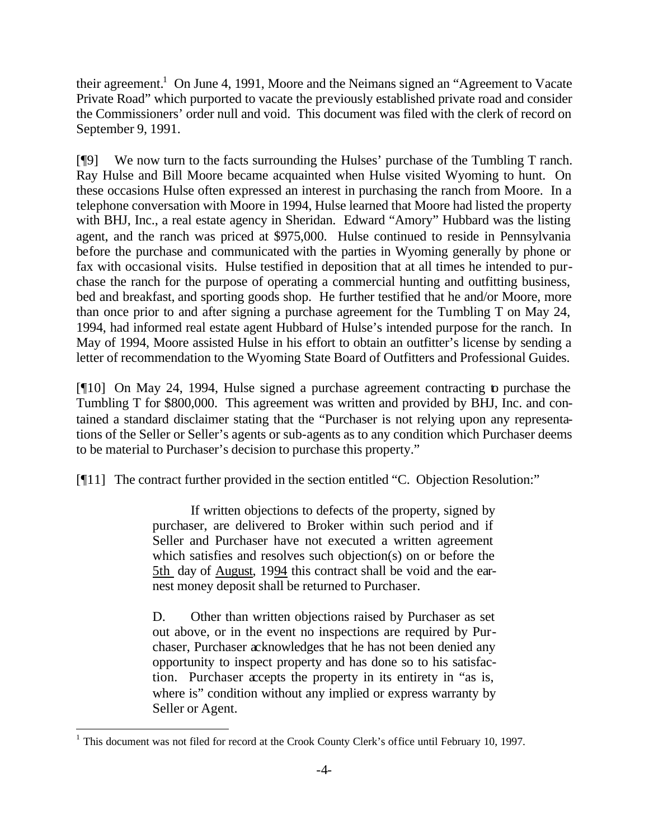their agreement.<sup>1</sup> On June 4, 1991, Moore and the Neimans signed an "Agreement to Vacate" Private Road" which purported to vacate the previously established private road and consider the Commissioners' order null and void. This document was filed with the clerk of record on September 9, 1991.

[¶9] We now turn to the facts surrounding the Hulses' purchase of the Tumbling T ranch. Ray Hulse and Bill Moore became acquainted when Hulse visited Wyoming to hunt. On these occasions Hulse often expressed an interest in purchasing the ranch from Moore. In a telephone conversation with Moore in 1994, Hulse learned that Moore had listed the property with BHJ, Inc., a real estate agency in Sheridan. Edward "Amory" Hubbard was the listing agent, and the ranch was priced at \$975,000. Hulse continued to reside in Pennsylvania before the purchase and communicated with the parties in Wyoming generally by phone or fax with occasional visits. Hulse testified in deposition that at all times he intended to purchase the ranch for the purpose of operating a commercial hunting and outfitting business, bed and breakfast, and sporting goods shop. He further testified that he and/or Moore, more than once prior to and after signing a purchase agreement for the Tumbling T on May 24, 1994, had informed real estate agent Hubbard of Hulse's intended purpose for the ranch. In May of 1994, Moore assisted Hulse in his effort to obtain an outfitter's license by sending a letter of recommendation to the Wyoming State Board of Outfitters and Professional Guides.

[¶10] On May 24, 1994, Hulse signed a purchase agreement contracting to purchase the Tumbling T for \$800,000. This agreement was written and provided by BHJ, Inc. and contained a standard disclaimer stating that the "Purchaser is not relying upon any representations of the Seller or Seller's agents or sub-agents as to any condition which Purchaser deems to be material to Purchaser's decision to purchase this property."

[¶11] The contract further provided in the section entitled "C. Objection Resolution:"

If written objections to defects of the property, signed by purchaser, are delivered to Broker within such period and if Seller and Purchaser have not executed a written agreement which satisfies and resolves such objection(s) on or before the 5th day of August, 1994 this contract shall be void and the earnest money deposit shall be returned to Purchaser.

D. Other than written objections raised by Purchaser as set out above, or in the event no inspections are required by Purchaser, Purchaser acknowledges that he has not been denied any opportunity to inspect property and has done so to his satisfaction. Purchaser accepts the property in its entirety in "as is, where is" condition without any implied or express warranty by Seller or Agent.

<sup>1</sup> This document was not filed for record at the Crook County Clerk's office until February 10, 1997.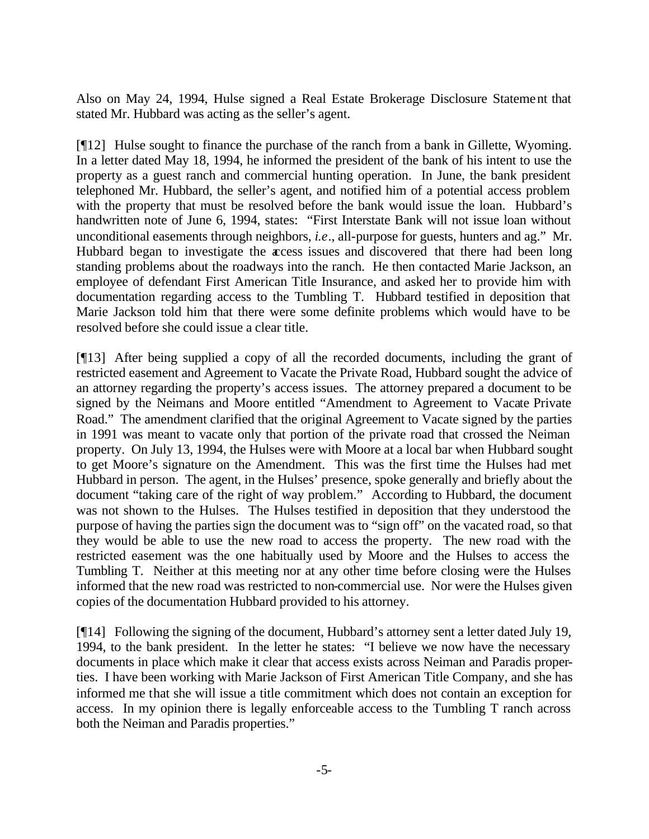Also on May 24, 1994, Hulse signed a Real Estate Brokerage Disclosure Statement that stated Mr. Hubbard was acting as the seller's agent.

[¶12] Hulse sought to finance the purchase of the ranch from a bank in Gillette, Wyoming. In a letter dated May 18, 1994, he informed the president of the bank of his intent to use the property as a guest ranch and commercial hunting operation. In June, the bank president telephoned Mr. Hubbard, the seller's agent, and notified him of a potential access problem with the property that must be resolved before the bank would issue the loan. Hubbard's handwritten note of June 6, 1994, states: "First Interstate Bank will not issue loan without unconditional easements through neighbors, *i.e*., all-purpose for guests, hunters and ag." Mr. Hubbard began to investigate the access issues and discovered that there had been long standing problems about the roadways into the ranch. He then contacted Marie Jackson, an employee of defendant First American Title Insurance, and asked her to provide him with documentation regarding access to the Tumbling T. Hubbard testified in deposition that Marie Jackson told him that there were some definite problems which would have to be resolved before she could issue a clear title.

[¶13] After being supplied a copy of all the recorded documents, including the grant of restricted easement and Agreement to Vacate the Private Road, Hubbard sought the advice of an attorney regarding the property's access issues. The attorney prepared a document to be signed by the Neimans and Moore entitled "Amendment to Agreement to Vacate Private Road." The amendment clarified that the original Agreement to Vacate signed by the parties in 1991 was meant to vacate only that portion of the private road that crossed the Neiman property. On July 13, 1994, the Hulses were with Moore at a local bar when Hubbard sought to get Moore's signature on the Amendment. This was the first time the Hulses had met Hubbard in person. The agent, in the Hulses' presence, spoke generally and briefly about the document "taking care of the right of way problem." According to Hubbard, the document was not shown to the Hulses. The Hulses testified in deposition that they understood the purpose of having the parties sign the document was to "sign off" on the vacated road, so that they would be able to use the new road to access the property. The new road with the restricted easement was the one habitually used by Moore and the Hulses to access the Tumbling T. Neither at this meeting nor at any other time before closing were the Hulses informed that the new road was restricted to non-commercial use. Nor were the Hulses given copies of the documentation Hubbard provided to his attorney.

[¶14] Following the signing of the document, Hubbard's attorney sent a letter dated July 19, 1994, to the bank president. In the letter he states: "I believe we now have the necessary documents in place which make it clear that access exists across Neiman and Paradis properties. I have been working with Marie Jackson of First American Title Company, and she has informed me that she will issue a title commitment which does not contain an exception for access. In my opinion there is legally enforceable access to the Tumbling T ranch across both the Neiman and Paradis properties."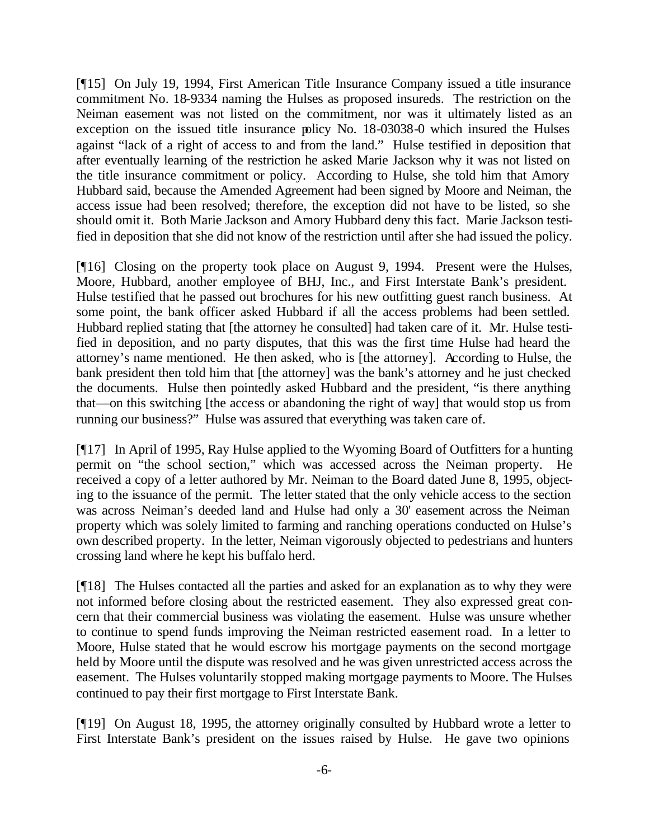[¶15] On July 19, 1994, First American Title Insurance Company issued a title insurance commitment No. 18-9334 naming the Hulses as proposed insureds. The restriction on the Neiman easement was not listed on the commitment, nor was it ultimately listed as an exception on the issued title insurance policy No. 18-03038-0 which insured the Hulses against "lack of a right of access to and from the land." Hulse testified in deposition that after eventually learning of the restriction he asked Marie Jackson why it was not listed on the title insurance commitment or policy. According to Hulse, she told him that Amory Hubbard said, because the Amended Agreement had been signed by Moore and Neiman, the access issue had been resolved; therefore, the exception did not have to be listed, so she should omit it. Both Marie Jackson and Amory Hubbard deny this fact. Marie Jackson testified in deposition that she did not know of the restriction until after she had issued the policy.

[¶16] Closing on the property took place on August 9, 1994. Present were the Hulses, Moore, Hubbard, another employee of BHJ, Inc., and First Interstate Bank's president. Hulse testified that he passed out brochures for his new outfitting guest ranch business. At some point, the bank officer asked Hubbard if all the access problems had been settled. Hubbard replied stating that [the attorney he consulted] had taken care of it. Mr. Hulse testified in deposition, and no party disputes, that this was the first time Hulse had heard the attorney's name mentioned. He then asked, who is [the attorney]. According to Hulse, the bank president then told him that [the attorney] was the bank's attorney and he just checked the documents. Hulse then pointedly asked Hubbard and the president, "is there anything that—on this switching [the access or abandoning the right of way] that would stop us from running our business?" Hulse was assured that everything was taken care of.

[¶17] In April of 1995, Ray Hulse applied to the Wyoming Board of Outfitters for a hunting permit on "the school section," which was accessed across the Neiman property. He received a copy of a letter authored by Mr. Neiman to the Board dated June 8, 1995, objecting to the issuance of the permit. The letter stated that the only vehicle access to the section was across Neiman's deeded land and Hulse had only a 30' easement across the Neiman property which was solely limited to farming and ranching operations conducted on Hulse's own described property. In the letter, Neiman vigorously objected to pedestrians and hunters crossing land where he kept his buffalo herd.

[¶18] The Hulses contacted all the parties and asked for an explanation as to why they were not informed before closing about the restricted easement. They also expressed great concern that their commercial business was violating the easement. Hulse was unsure whether to continue to spend funds improving the Neiman restricted easement road. In a letter to Moore, Hulse stated that he would escrow his mortgage payments on the second mortgage held by Moore until the dispute was resolved and he was given unrestricted access across the easement. The Hulses voluntarily stopped making mortgage payments to Moore. The Hulses continued to pay their first mortgage to First Interstate Bank.

[¶19] On August 18, 1995, the attorney originally consulted by Hubbard wrote a letter to First Interstate Bank's president on the issues raised by Hulse. He gave two opinions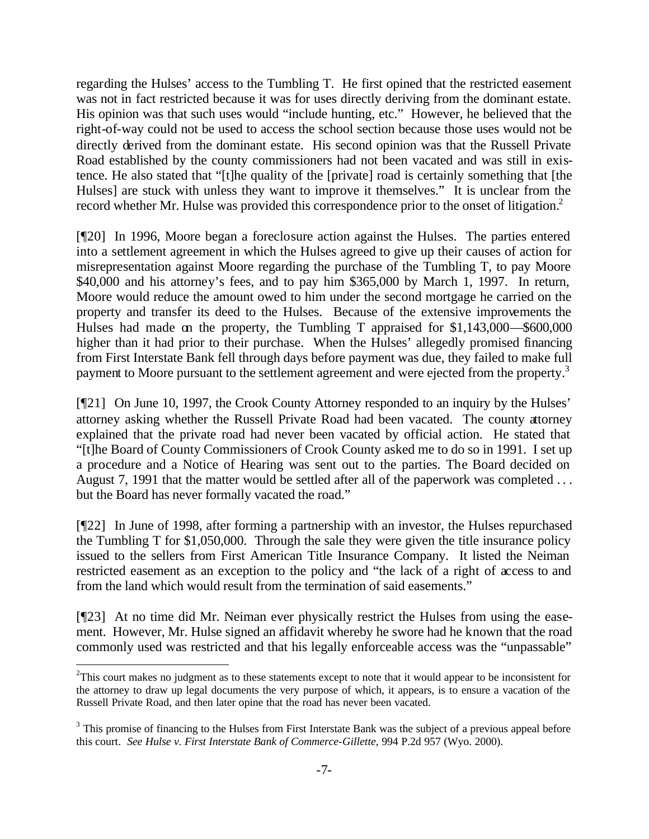regarding the Hulses' access to the Tumbling T. He first opined that the restricted easement was not in fact restricted because it was for uses directly deriving from the dominant estate. His opinion was that such uses would "include hunting, etc." However, he believed that the right-of-way could not be used to access the school section because those uses would not be directly derived from the dominant estate. His second opinion was that the Russell Private Road established by the county commissioners had not been vacated and was still in existence. He also stated that "[t]he quality of the [private] road is certainly something that [the Hulses] are stuck with unless they want to improve it themselves." It is unclear from the record whether Mr. Hulse was provided this correspondence prior to the onset of litigation.<sup>2</sup>

[¶20] In 1996, Moore began a foreclosure action against the Hulses. The parties entered into a settlement agreement in which the Hulses agreed to give up their causes of action for misrepresentation against Moore regarding the purchase of the Tumbling T, to pay Moore \$40,000 and his attorney's fees, and to pay him \$365,000 by March 1, 1997. In return, Moore would reduce the amount owed to him under the second mortgage he carried on the property and transfer its deed to the Hulses. Because of the extensive improvements the Hulses had made on the property, the Tumbling T appraised for \$1,143,000—\$600,000 higher than it had prior to their purchase. When the Hulses' allegedly promised financing from First Interstate Bank fell through days before payment was due, they failed to make full payment to Moore pursuant to the settlement agreement and were ejected from the property.<sup>3</sup>

[¶21] On June 10, 1997, the Crook County Attorney responded to an inquiry by the Hulses' attorney asking whether the Russell Private Road had been vacated. The county attorney explained that the private road had never been vacated by official action. He stated that "[t]he Board of County Commissioners of Crook County asked me to do so in 1991. I set up a procedure and a Notice of Hearing was sent out to the parties. The Board decided on August 7, 1991 that the matter would be settled after all of the paperwork was completed ... but the Board has never formally vacated the road."

[¶22] In June of 1998, after forming a partnership with an investor, the Hulses repurchased the Tumbling T for \$1,050,000. Through the sale they were given the title insurance policy issued to the sellers from First American Title Insurance Company. It listed the Neiman restricted easement as an exception to the policy and "the lack of a right of access to and from the land which would result from the termination of said easements."

[¶23] At no time did Mr. Neiman ever physically restrict the Hulses from using the easement. However, Mr. Hulse signed an affidavit whereby he swore had he known that the road commonly used was restricted and that his legally enforceable access was the "unpassable"

 $2^2$ This court makes no judgment as to these statements except to note that it would appear to be inconsistent for the attorney to draw up legal documents the very purpose of which, it appears, is to ensure a vacation of the Russell Private Road, and then later opine that the road has never been vacated.

 $3$  This promise of financing to the Hulses from First Interstate Bank was the subject of a previous appeal before this court. *See Hulse v. First Interstate Bank of Commerce-Gillette*, 994 P.2d 957 (Wyo. 2000).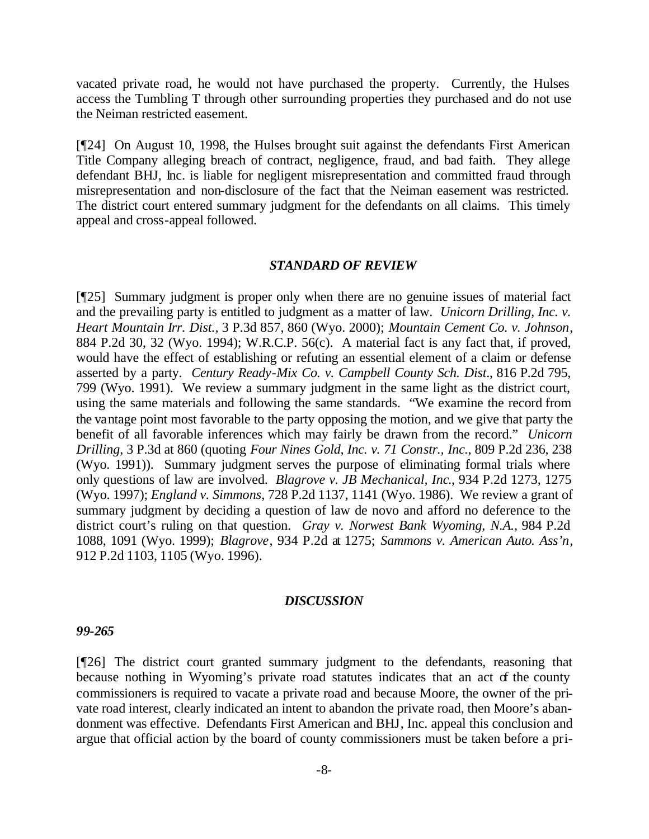vacated private road, he would not have purchased the property. Currently, the Hulses access the Tumbling T through other surrounding properties they purchased and do not use the Neiman restricted easement.

[¶24] On August 10, 1998, the Hulses brought suit against the defendants First American Title Company alleging breach of contract, negligence, fraud, and bad faith. They allege defendant BHJ, Inc. is liable for negligent misrepresentation and committed fraud through misrepresentation and non-disclosure of the fact that the Neiman easement was restricted. The district court entered summary judgment for the defendants on all claims. This timely appeal and cross-appeal followed.

#### *STANDARD OF REVIEW*

[¶25] Summary judgment is proper only when there are no genuine issues of material fact and the prevailing party is entitled to judgment as a matter of law. *Unicorn Drilling, Inc. v. Heart Mountain Irr. Dist.,* 3 P.3d 857, 860 (Wyo. 2000); *Mountain Cement Co. v. Johnson*, 884 P.2d 30, 32 (Wyo. 1994); W.R.C.P. 56(c). A material fact is any fact that, if proved, would have the effect of establishing or refuting an essential element of a claim or defense asserted by a party. *Century Ready-Mix Co. v. Campbell County Sch. Dist*., 816 P.2d 795, 799 (Wyo. 1991). We review a summary judgment in the same light as the district court, using the same materials and following the same standards. "We examine the record from the vantage point most favorable to the party opposing the motion, and we give that party the benefit of all favorable inferences which may fairly be drawn from the record." *Unicorn Drilling*, 3 P.3d at 860 (quoting *Four Nines Gold, Inc. v. 71 Constr., Inc.*, 809 P.2d 236, 238 (Wyo. 1991)). Summary judgment serves the purpose of eliminating formal trials where only questions of law are involved. *Blagrove v. JB Mechanical, Inc*., 934 P.2d 1273, 1275 (Wyo. 1997); *England v. Simmons*, 728 P.2d 1137, 1141 (Wyo. 1986). We review a grant of summary judgment by deciding a question of law de novo and afford no deference to the district court's ruling on that question. *Gray v. Norwest Bank Wyoming, N.A.*, 984 P.2d 1088, 1091 (Wyo. 1999); *Blagrove*, 934 P.2d at 1275; *Sammons v. American Auto. Ass'n*, 912 P.2d 1103, 1105 (Wyo. 1996).

#### *DISCUSSION*

#### *99-265*

[¶26] The district court granted summary judgment to the defendants, reasoning that because nothing in Wyoming's private road statutes indicates that an act of the county commissioners is required to vacate a private road and because Moore, the owner of the private road interest, clearly indicated an intent to abandon the private road, then Moore's abandonment was effective. Defendants First American and BHJ, Inc. appeal this conclusion and argue that official action by the board of county commissioners must be taken before a pri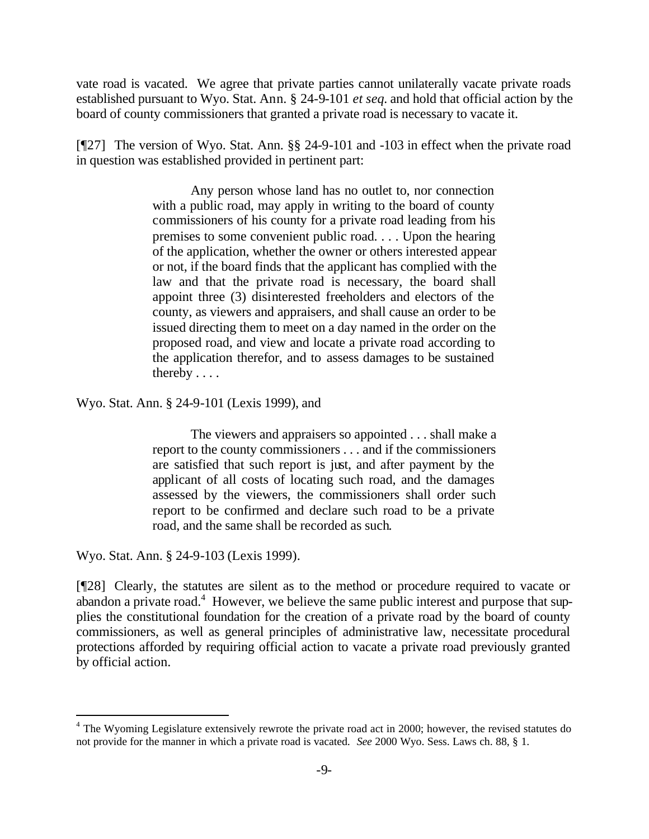vate road is vacated. We agree that private parties cannot unilaterally vacate private roads established pursuant to Wyo. Stat. Ann. § 24-9-101 *et seq.* and hold that official action by the board of county commissioners that granted a private road is necessary to vacate it.

[¶27] The version of Wyo. Stat. Ann. §§ 24-9-101 and -103 in effect when the private road in question was established provided in pertinent part:

> Any person whose land has no outlet to, nor connection with a public road, may apply in writing to the board of county commissioners of his county for a private road leading from his premises to some convenient public road. . . . Upon the hearing of the application, whether the owner or others interested appear or not, if the board finds that the applicant has complied with the law and that the private road is necessary, the board shall appoint three (3) disinterested freeholders and electors of the county, as viewers and appraisers, and shall cause an order to be issued directing them to meet on a day named in the order on the proposed road, and view and locate a private road according to the application therefor, and to assess damages to be sustained thereby . . . .

Wyo. Stat. Ann. § 24-9-101 (Lexis 1999), and

The viewers and appraisers so appointed . . . shall make a report to the county commissioners . . . and if the commissioners are satisfied that such report is just, and after payment by the applicant of all costs of locating such road, and the damages assessed by the viewers, the commissioners shall order such report to be confirmed and declare such road to be a private road, and the same shall be recorded as such.

Wyo. Stat. Ann. § 24-9-103 (Lexis 1999).

l

[¶28] Clearly, the statutes are silent as to the method or procedure required to vacate or abandon a private road.<sup>4</sup> However, we believe the same public interest and purpose that supplies the constitutional foundation for the creation of a private road by the board of county commissioners, as well as general principles of administrative law, necessitate procedural protections afforded by requiring official action to vacate a private road previously granted by official action.

<sup>&</sup>lt;sup>4</sup> The Wyoming Legislature extensively rewrote the private road act in 2000; however, the revised statutes do not provide for the manner in which a private road is vacated. *See* 2000 Wyo. Sess. Laws ch. 88, § 1.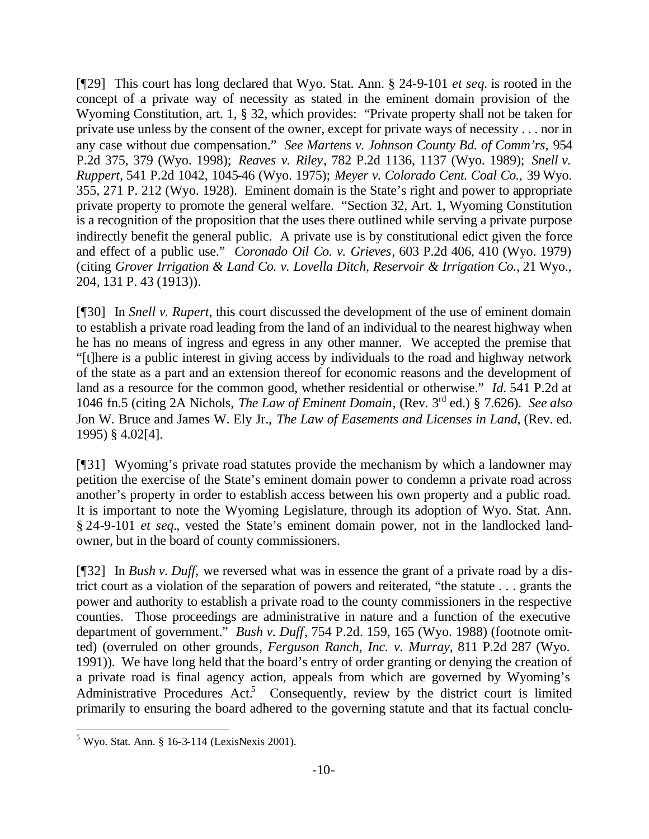[¶29] This court has long declared that Wyo. Stat. Ann. § 24-9-101 *et seq.* is rooted in the concept of a private way of necessity as stated in the eminent domain provision of the Wyoming Constitution, art. 1, § 32, which provides: "Private property shall not be taken for private use unless by the consent of the owner, except for private ways of necessity . . . nor in any case without due compensation." *See Martens v. Johnson County Bd. of Comm'rs,* 954 P.2d 375, 379 (Wyo. 1998); *Reaves v. Riley*, 782 P.2d 1136, 1137 (Wyo. 1989); *Snell v. Ruppert,* 541 P.2d 1042, 1045-46 (Wyo. 1975); *Meyer v. Colorado Cent. Coal Co.,* 39 Wyo. 355, 271 P. 212 (Wyo. 1928). Eminent domain is the State's right and power to appropriate private property to promote the general welfare. "Section 32, Art. 1, Wyoming Constitution is a recognition of the proposition that the uses there outlined while serving a private purpose indirectly benefit the general public. A private use is by constitutional edict given the force and effect of a public use." *Coronado Oil Co. v. Grieves*, 603 P.2d 406, 410 (Wyo. 1979) (citing *Grover Irrigation & Land Co. v. Lovella Ditch, Reservoir & Irrigation Co.,* 21 Wyo., 204, 131 P. 43 (1913)).

[¶30] In *Snell v. Rupert*, this court discussed the development of the use of eminent domain to establish a private road leading from the land of an individual to the nearest highway when he has no means of ingress and egress in any other manner. We accepted the premise that "[t]here is a public interest in giving access by individuals to the road and highway network of the state as a part and an extension thereof for economic reasons and the development of land as a resource for the common good, whether residential or otherwise." *Id.* 541 P.2d at 1046 fn.5 (citing 2A Nichols, *The Law of Eminent Domain*, (Rev. 3rd ed.) § 7.626). *See also* Jon W. Bruce and James W. Ely Jr., *The Law of Easements and Licenses in Land*, (Rev. ed. 1995) § 4.02[4].

[¶31] Wyoming's private road statutes provide the mechanism by which a landowner may petition the exercise of the State's eminent domain power to condemn a private road across another's property in order to establish access between his own property and a public road. It is important to note the Wyoming Legislature, through its adoption of Wyo. Stat. Ann. § 24-9-101 *et seq.*, vested the State's eminent domain power, not in the landlocked landowner, but in the board of county commissioners.

[¶32] In *Bush v. Duff,* we reversed what was in essence the grant of a private road by a district court as a violation of the separation of powers and reiterated, "the statute . . . grants the power and authority to establish a private road to the county commissioners in the respective counties. Those proceedings are administrative in nature and a function of the executive department of government." *Bush v. Duff*, 754 P.2d. 159, 165 (Wyo. 1988) (footnote omitted) (overruled on other grounds*, Ferguson Ranch, Inc. v. Murray*, 811 P.2d 287 (Wyo. 1991)). We have long held that the board's entry of order granting or denying the creation of a private road is final agency action, appeals from which are governed by Wyoming's Administrative Procedures Act.<sup>5</sup> Consequently, review by the district court is limited primarily to ensuring the board adhered to the governing statute and that its factual conclu-

 $5$  Wyo. Stat. Ann. § 16-3-114 (LexisNexis 2001).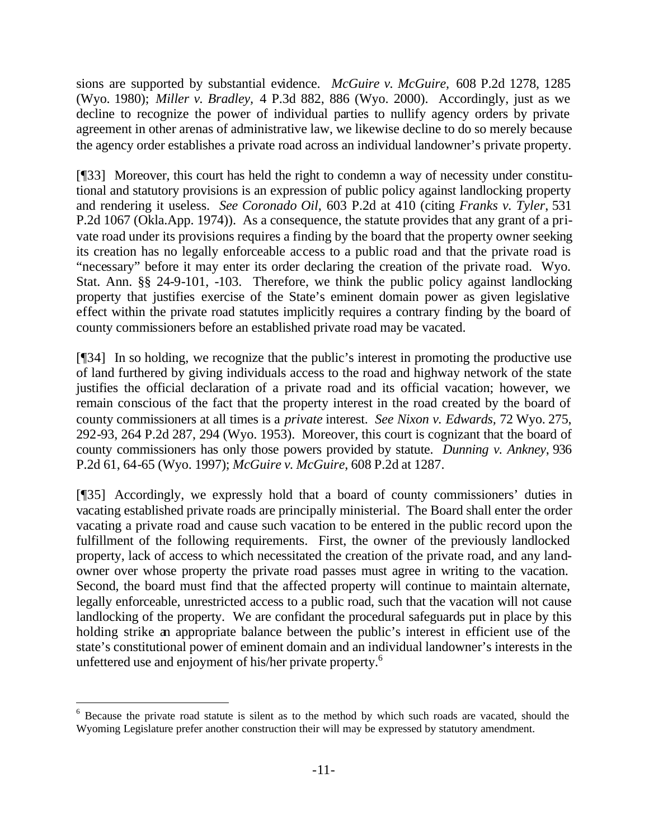sions are supported by substantial evidence. *McGuire v. McGuire,* 608 P.2d 1278, 1285 (Wyo. 1980); *Miller v. Bradley,* 4 P.3d 882, 886 (Wyo. 2000). Accordingly, just as we decline to recognize the power of individual parties to nullify agency orders by private agreement in other arenas of administrative law, we likewise decline to do so merely because the agency order establishes a private road across an individual landowner's private property.

[¶33] Moreover, this court has held the right to condemn a way of necessity under constitutional and statutory provisions is an expression of public policy against landlocking property and rendering it useless. *See Coronado Oil,* 603 P.2d at 410 (citing *Franks v. Tyler*, 531 P.2d 1067 (Okla.App. 1974)). As a consequence, the statute provides that any grant of a private road under its provisions requires a finding by the board that the property owner seeking its creation has no legally enforceable access to a public road and that the private road is "necessary" before it may enter its order declaring the creation of the private road. Wyo. Stat. Ann. §§ 24-9-101, -103. Therefore, we think the public policy against landlocking property that justifies exercise of the State's eminent domain power as given legislative effect within the private road statutes implicitly requires a contrary finding by the board of county commissioners before an established private road may be vacated.

[¶34] In so holding, we recognize that the public's interest in promoting the productive use of land furthered by giving individuals access to the road and highway network of the state justifies the official declaration of a private road and its official vacation; however, we remain conscious of the fact that the property interest in the road created by the board of county commissioners at all times is a *private* interest. *See Nixon v. Edwards,* 72 Wyo. 275, 292-93, 264 P.2d 287, 294 (Wyo. 1953). Moreover, this court is cognizant that the board of county commissioners has only those powers provided by statute. *Dunning v. Ankney*, 936 P.2d 61, 64-65 (Wyo. 1997); *McGuire v. McGuire*, 608 P.2d at 1287.

[¶35] Accordingly, we expressly hold that a board of county commissioners' duties in vacating established private roads are principally ministerial. The Board shall enter the order vacating a private road and cause such vacation to be entered in the public record upon the fulfillment of the following requirements. First, the owner of the previously landlocked property, lack of access to which necessitated the creation of the private road, and any landowner over whose property the private road passes must agree in writing to the vacation. Second, the board must find that the affected property will continue to maintain alternate, legally enforceable, unrestricted access to a public road, such that the vacation will not cause landlocking of the property. We are confidant the procedural safeguards put in place by this holding strike an appropriate balance between the public's interest in efficient use of the state's constitutional power of eminent domain and an individual landowner's interests in the unfettered use and enjoyment of his/her private property.<sup>6</sup>

<sup>&</sup>lt;sup>6</sup> Because the private road statute is silent as to the method by which such roads are vacated, should the Wyoming Legislature prefer another construction their will may be expressed by statutory amendment.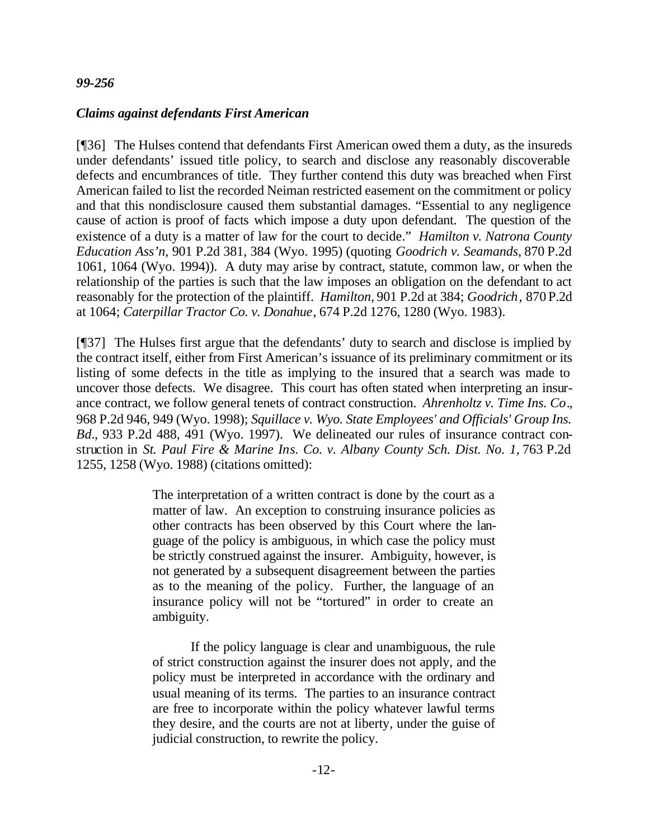#### *99-256*

#### *Claims against defendants First American*

[¶36] The Hulses contend that defendants First American owed them a duty, as the insureds under defendants' issued title policy, to search and disclose any reasonably discoverable defects and encumbrances of title. They further contend this duty was breached when First American failed to list the recorded Neiman restricted easement on the commitment or policy and that this nondisclosure caused them substantial damages. "Essential to any negligence cause of action is proof of facts which impose a duty upon defendant. The question of the existence of a duty is a matter of law for the court to decide." *Hamilton v. Natrona County Education Ass'n*, 901 P.2d 381, 384 (Wyo. 1995) (quoting *Goodrich v. Seamands*, 870 P.2d 1061, 1064 (Wyo. 1994)). A duty may arise by contract, statute, common law, or when the relationship of the parties is such that the law imposes an obligation on the defendant to act reasonably for the protection of the plaintiff. *Hamilton,* 901 P.2d at 384; *Goodrich*, 870 P.2d at 1064; *Caterpillar Tractor Co. v. Donahue*, 674 P.2d 1276, 1280 (Wyo. 1983).

[¶37] The Hulses first argue that the defendants' duty to search and disclose is implied by the contract itself, either from First American's issuance of its preliminary commitment or its listing of some defects in the title as implying to the insured that a search was made to uncover those defects. We disagree. This court has often stated when interpreting an insurance contract, we follow general tenets of contract construction. *Ahrenholtz v. Time Ins. Co*., 968 P.2d 946, 949 (Wyo. 1998); *Squillace v. Wyo. State Employees' and Officials' Group Ins. Bd.*, 933 P.2d 488, 491 (Wyo. 1997). We delineated our rules of insurance contract construction in *St. Paul Fire & Marine Ins. Co. v. Albany County Sch. Dist. No. 1,* 763 P.2d 1255, 1258 (Wyo. 1988) (citations omitted):

> The interpretation of a written contract is done by the court as a matter of law. An exception to construing insurance policies as other contracts has been observed by this Court where the language of the policy is ambiguous, in which case the policy must be strictly construed against the insurer. Ambiguity, however, is not generated by a subsequent disagreement between the parties as to the meaning of the policy. Further, the language of an insurance policy will not be "tortured" in order to create an ambiguity.

> If the policy language is clear and unambiguous, the rule of strict construction against the insurer does not apply, and the policy must be interpreted in accordance with the ordinary and usual meaning of its terms. The parties to an insurance contract are free to incorporate within the policy whatever lawful terms they desire, and the courts are not at liberty, under the guise of judicial construction, to rewrite the policy.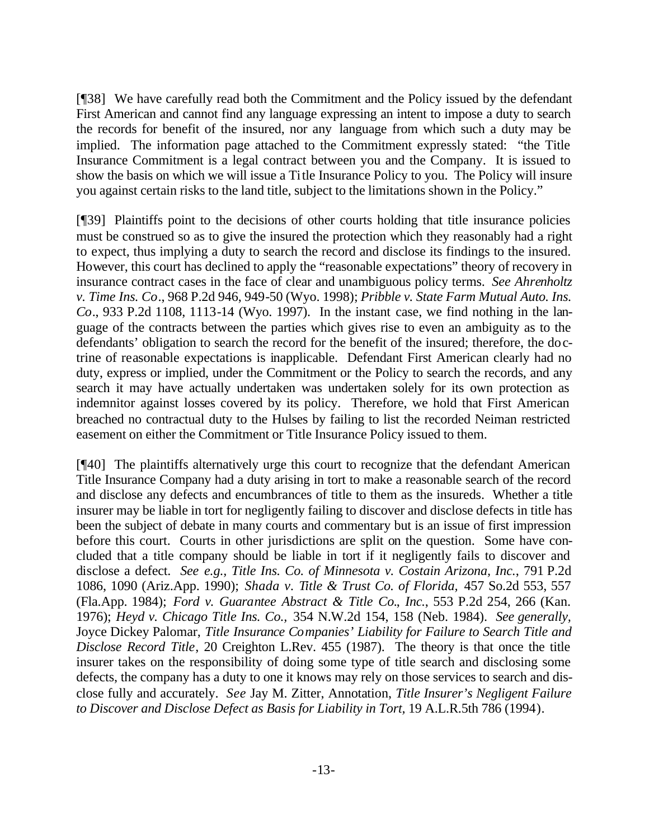[¶38] We have carefully read both the Commitment and the Policy issued by the defendant First American and cannot find any language expressing an intent to impose a duty to search the records for benefit of the insured, nor any language from which such a duty may be implied. The information page attached to the Commitment expressly stated: "the Title Insurance Commitment is a legal contract between you and the Company. It is issued to show the basis on which we will issue a Title Insurance Policy to you. The Policy will insure you against certain risks to the land title, subject to the limitations shown in the Policy."

[¶39] Plaintiffs point to the decisions of other courts holding that title insurance policies must be construed so as to give the insured the protection which they reasonably had a right to expect, thus implying a duty to search the record and disclose its findings to the insured. However, this court has declined to apply the "reasonable expectations" theory of recovery in insurance contract cases in the face of clear and unambiguous policy terms. *See Ahrenholtz v. Time Ins. Co*., 968 P.2d 946, 949-50 (Wyo. 1998); *Pribble v. State Farm Mutual Auto. Ins. Co*., 933 P.2d 1108, 1113-14 (Wyo. 1997). In the instant case, we find nothing in the language of the contracts between the parties which gives rise to even an ambiguity as to the defendants' obligation to search the record for the benefit of the insured; therefore, the doctrine of reasonable expectations is inapplicable. Defendant First American clearly had no duty, express or implied, under the Commitment or the Policy to search the records, and any search it may have actually undertaken was undertaken solely for its own protection as indemnitor against losses covered by its policy. Therefore, we hold that First American breached no contractual duty to the Hulses by failing to list the recorded Neiman restricted easement on either the Commitment or Title Insurance Policy issued to them.

[¶40] The plaintiffs alternatively urge this court to recognize that the defendant American Title Insurance Company had a duty arising in tort to make a reasonable search of the record and disclose any defects and encumbrances of title to them as the insureds. Whether a title insurer may be liable in tort for negligently failing to discover and disclose defects in title has been the subject of debate in many courts and commentary but is an issue of first impression before this court. Courts in other jurisdictions are split on the question. Some have concluded that a title company should be liable in tort if it negligently fails to discover and disclose a defect. *See e.g., Title Ins. Co. of Minnesota v. Costain Arizona, Inc.*, 791 P.2d 1086, 1090 (Ariz.App. 1990); *Shada v. Title & Trust Co. of Florida,* 457 So.2d 553, 557 (Fla.App. 1984); *Ford v. Guarantee Abstract & Title Co.*, *Inc.*, 553 P.2d 254, 266 (Kan. 1976); *Heyd v. Chicago Title Ins. Co.,* 354 N.W.2d 154, 158 (Neb. 1984). *See generally,*  Joyce Dickey Palomar, *Title Insurance Companies' Liability for Failure to Search Title and Disclose Record Title*, 20 Creighton L.Rev. 455 (1987). The theory is that once the title insurer takes on the responsibility of doing some type of title search and disclosing some defects, the company has a duty to one it knows may rely on those services to search and disclose fully and accurately. *See* Jay M. Zitter, Annotation, *Title Insurer's Negligent Failure to Discover and Disclose Defect as Basis for Liability in Tort,* 19 A.L.R.5th 786 (1994).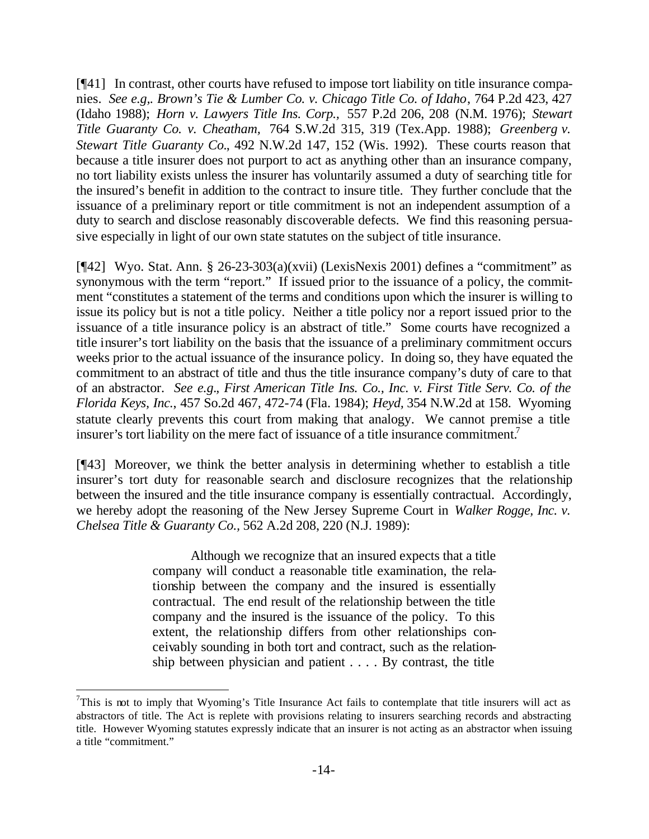[¶41] In contrast, other courts have refused to impose tort liability on title insurance companies. *See e.g,. Brown's Tie & Lumber Co. v. Chicago Title Co. of Idaho*, 764 P.2d 423, 427 (Idaho 1988); *Horn v. Lawyers Title Ins. Corp.,* 557 P.2d 206, 208 (N.M. 1976); *Stewart Title Guaranty Co. v. Cheatham,* 764 S.W.2d 315, 319 (Tex.App. 1988); *Greenberg v. Stewart Title Guaranty Co.*, 492 N.W.2d 147, 152 (Wis. 1992). These courts reason that because a title insurer does not purport to act as anything other than an insurance company, no tort liability exists unless the insurer has voluntarily assumed a duty of searching title for the insured's benefit in addition to the contract to insure title. They further conclude that the issuance of a preliminary report or title commitment is not an independent assumption of a duty to search and disclose reasonably discoverable defects. We find this reasoning persuasive especially in light of our own state statutes on the subject of title insurance.

[¶42] Wyo. Stat. Ann. § 26-23-303(a)(xvii) (LexisNexis 2001) defines a "commitment" as synonymous with the term "report." If issued prior to the issuance of a policy, the commitment "constitutes a statement of the terms and conditions upon which the insurer is willing to issue its policy but is not a title policy. Neither a title policy nor a report issued prior to the issuance of a title insurance policy is an abstract of title." Some courts have recognized a title insurer's tort liability on the basis that the issuance of a preliminary commitment occurs weeks prior to the actual issuance of the insurance policy. In doing so, they have equated the commitment to an abstract of title and thus the title insurance company's duty of care to that of an abstractor. *See e.g., First American Title Ins. Co., Inc. v. First Title Serv. Co. of the Florida Keys, Inc.*, 457 So.2d 467, 472-74 (Fla. 1984); *Heyd,* 354 N.W.2d at 158. Wyoming statute clearly prevents this court from making that analogy. We cannot premise a title insurer's tort liability on the mere fact of issuance of a title insurance commitment.<sup>7</sup>

[¶43] Moreover, we think the better analysis in determining whether to establish a title insurer's tort duty for reasonable search and disclosure recognizes that the relationship between the insured and the title insurance company is essentially contractual. Accordingly, we hereby adopt the reasoning of the New Jersey Supreme Court in *Walker Rogge, Inc. v. Chelsea Title & Guaranty Co.,* 562 A.2d 208, 220 (N.J. 1989):

> Although we recognize that an insured expects that a title company will conduct a reasonable title examination, the relationship between the company and the insured is essentially contractual. The end result of the relationship between the title company and the insured is the issuance of the policy. To this extent, the relationship differs from other relationships conceivably sounding in both tort and contract, such as the relationship between physician and patient . . . . By contrast, the title

 $7$ This is not to imply that Wyoming's Title Insurance Act fails to contemplate that title insurers will act as abstractors of title. The Act is replete with provisions relating to insurers searching records and abstracting title. However Wyoming statutes expressly indicate that an insurer is not acting as an abstractor when issuing a title "commitment."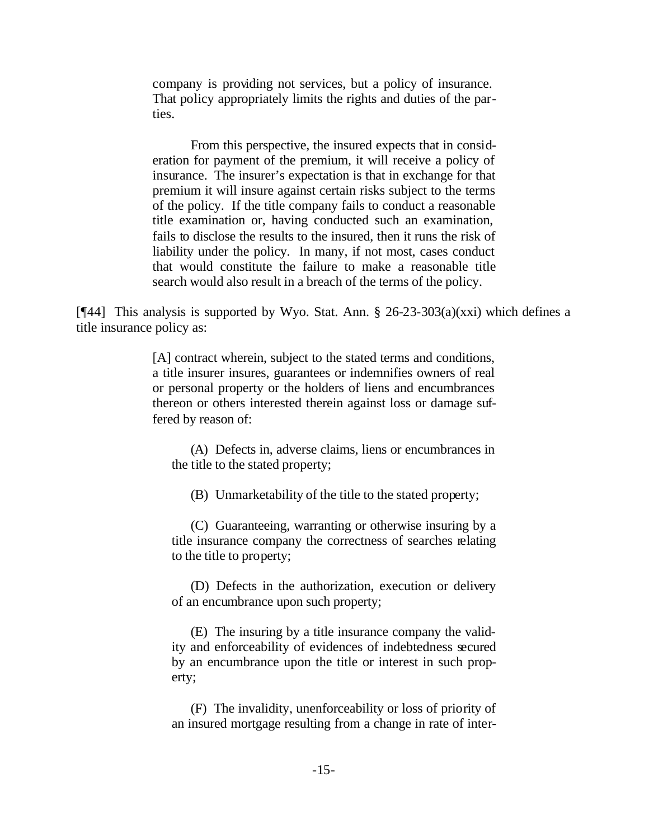company is providing not services, but a policy of insurance. That policy appropriately limits the rights and duties of the parties.

From this perspective, the insured expects that in consideration for payment of the premium, it will receive a policy of insurance. The insurer's expectation is that in exchange for that premium it will insure against certain risks subject to the terms of the policy. If the title company fails to conduct a reasonable title examination or, having conducted such an examination, fails to disclose the results to the insured, then it runs the risk of liability under the policy. In many, if not most, cases conduct that would constitute the failure to make a reasonable title search would also result in a breach of the terms of the policy.

[ $[$ 44] This analysis is supported by Wyo. Stat. Ann. § 26-23-303(a)(xxi) which defines a title insurance policy as:

> [A] contract wherein, subject to the stated terms and conditions, a title insurer insures, guarantees or indemnifies owners of real or personal property or the holders of liens and encumbrances thereon or others interested therein against loss or damage suffered by reason of:

(A) Defects in, adverse claims, liens or encumbrances in the title to the stated property;

(B) Unmarketability of the title to the stated property;

(C) Guaranteeing, warranting or otherwise insuring by a title insurance company the correctness of searches relating to the title to property;

(D) Defects in the authorization, execution or delivery of an encumbrance upon such property;

(E) The insuring by a title insurance company the validity and enforceability of evidences of indebtedness secured by an encumbrance upon the title or interest in such property;

(F) The invalidity, unenforceability or loss of priority of an insured mortgage resulting from a change in rate of inter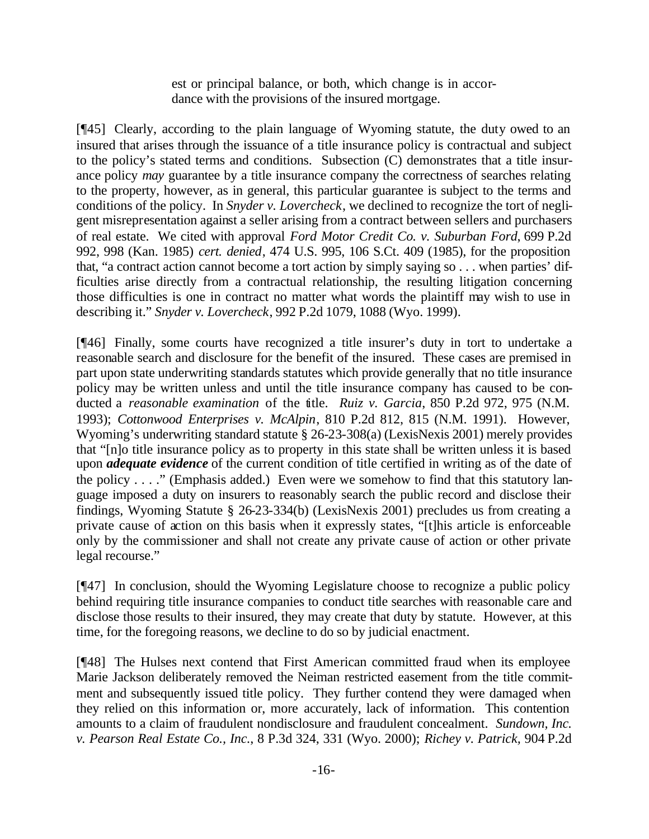est or principal balance, or both, which change is in accordance with the provisions of the insured mortgage.

[¶45] Clearly, according to the plain language of Wyoming statute, the duty owed to an insured that arises through the issuance of a title insurance policy is contractual and subject to the policy's stated terms and conditions. Subsection (C) demonstrates that a title insurance policy *may* guarantee by a title insurance company the correctness of searches relating to the property, however, as in general, this particular guarantee is subject to the terms and conditions of the policy. In *Snyder v. Lovercheck*, we declined to recognize the tort of negligent misrepresentation against a seller arising from a contract between sellers and purchasers of real estate. We cited with approval *Ford Motor Credit Co. v. Suburban Ford*, 699 P.2d 992, 998 (Kan. 1985) *cert. denied*, 474 U.S. 995, 106 S.Ct. 409 (1985), for the proposition that, "a contract action cannot become a tort action by simply saying so . . . when parties' difficulties arise directly from a contractual relationship, the resulting litigation concerning those difficulties is one in contract no matter what words the plaintiff may wish to use in describing it." *Snyder v. Lovercheck*, 992 P.2d 1079, 1088 (Wyo. 1999).

[¶46] Finally, some courts have recognized a title insurer's duty in tort to undertake a reasonable search and disclosure for the benefit of the insured. These cases are premised in part upon state underwriting standards statutes which provide generally that no title insurance policy may be written unless and until the title insurance company has caused to be conducted a *reasonable examination* of the title. *Ruiz v. Garcia*, 850 P.2d 972, 975 (N.M. 1993); *Cottonwood Enterprises v. McAlpin*, 810 P.2d 812, 815 (N.M. 1991). However, Wyoming's underwriting standard statute § 26-23-308(a) (LexisNexis 2001) merely provides that "[n]o title insurance policy as to property in this state shall be written unless it is based upon *adequate evidence* of the current condition of title certified in writing as of the date of the policy . . . ." (Emphasis added.) Even were we somehow to find that this statutory language imposed a duty on insurers to reasonably search the public record and disclose their findings, Wyoming Statute § 26-23-334(b) (LexisNexis 2001) precludes us from creating a private cause of action on this basis when it expressly states, "[t]his article is enforceable only by the commissioner and shall not create any private cause of action or other private legal recourse."

[¶47] In conclusion, should the Wyoming Legislature choose to recognize a public policy behind requiring title insurance companies to conduct title searches with reasonable care and disclose those results to their insured, they may create that duty by statute. However, at this time, for the foregoing reasons, we decline to do so by judicial enactment.

[¶48] The Hulses next contend that First American committed fraud when its employee Marie Jackson deliberately removed the Neiman restricted easement from the title commitment and subsequently issued title policy. They further contend they were damaged when they relied on this information or, more accurately, lack of information. This contention amounts to a claim of fraudulent nondisclosure and fraudulent concealment. *Sundown, Inc. v. Pearson Real Estate Co., Inc.*, 8 P.3d 324, 331 (Wyo. 2000); *Richey v. Patrick,* 904 P.2d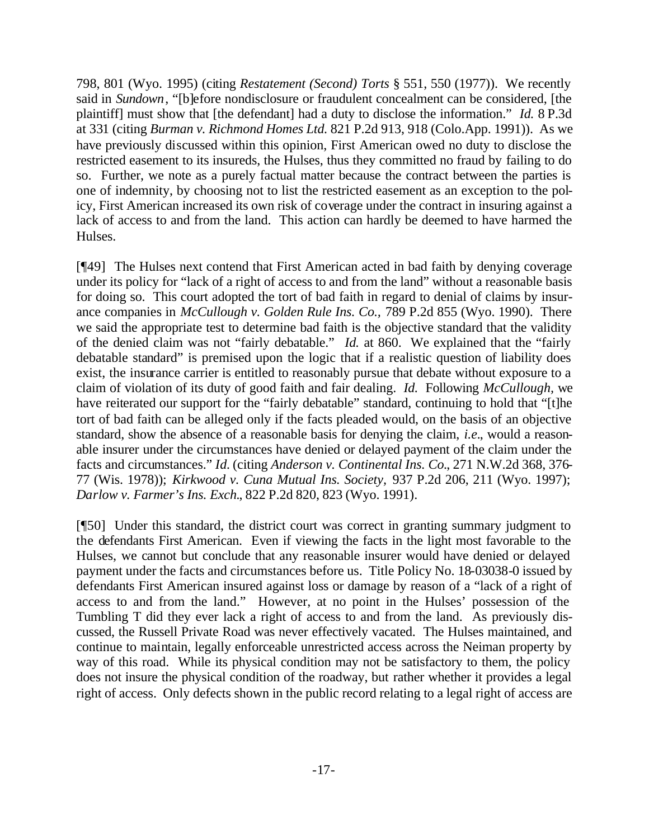798, 801 (Wyo. 1995) (citing *Restatement (Second) Torts* § 551, 550 (1977)). We recently said in *Sundown*, "[b]efore nondisclosure or fraudulent concealment can be considered, [the plaintiff] must show that [the defendant] had a duty to disclose the information." *Id.* 8 P.3d at 331 (citing *Burman v. Richmond Homes Ltd.* 821 P.2d 913, 918 (Colo.App. 1991)). As we have previously discussed within this opinion, First American owed no duty to disclose the restricted easement to its insureds, the Hulses, thus they committed no fraud by failing to do so. Further, we note as a purely factual matter because the contract between the parties is one of indemnity, by choosing not to list the restricted easement as an exception to the policy, First American increased its own risk of coverage under the contract in insuring against a lack of access to and from the land. This action can hardly be deemed to have harmed the Hulses.

[¶49] The Hulses next contend that First American acted in bad faith by denying coverage under its policy for "lack of a right of access to and from the land" without a reasonable basis for doing so. This court adopted the tort of bad faith in regard to denial of claims by insurance companies in *McCullough v. Golden Rule Ins. Co.,* 789 P.2d 855 (Wyo. 1990). There we said the appropriate test to determine bad faith is the objective standard that the validity of the denied claim was not "fairly debatable." *Id.* at 860. We explained that the "fairly debatable standard" is premised upon the logic that if a realistic question of liability does exist, the insurance carrier is entitled to reasonably pursue that debate without exposure to a claim of violation of its duty of good faith and fair dealing. *Id.* Following *McCullough,* we have reiterated our support for the "fairly debatable" standard, continuing to hold that "[t]he tort of bad faith can be alleged only if the facts pleaded would, on the basis of an objective standard, show the absence of a reasonable basis for denying the claim, *i.e.*, would a reasonable insurer under the circumstances have denied or delayed payment of the claim under the facts and circumstances." *Id.* (citing *Anderson v. Continental Ins. Co.*, 271 N.W.2d 368, 376- 77 (Wis. 1978)); *Kirkwood v. Cuna Mutual Ins. Society,* 937 P.2d 206, 211 (Wyo. 1997); *Darlow v. Farmer's Ins. Exch.*, 822 P.2d 820, 823 (Wyo. 1991).

[¶50] Under this standard, the district court was correct in granting summary judgment to the defendants First American. Even if viewing the facts in the light most favorable to the Hulses, we cannot but conclude that any reasonable insurer would have denied or delayed payment under the facts and circumstances before us. Title Policy No. 18-03038-0 issued by defendants First American insured against loss or damage by reason of a "lack of a right of access to and from the land." However, at no point in the Hulses' possession of the Tumbling T did they ever lack a right of access to and from the land. As previously discussed, the Russell Private Road was never effectively vacated. The Hulses maintained, and continue to maintain, legally enforceable unrestricted access across the Neiman property by way of this road. While its physical condition may not be satisfactory to them, the policy does not insure the physical condition of the roadway, but rather whether it provides a legal right of access. Only defects shown in the public record relating to a legal right of access are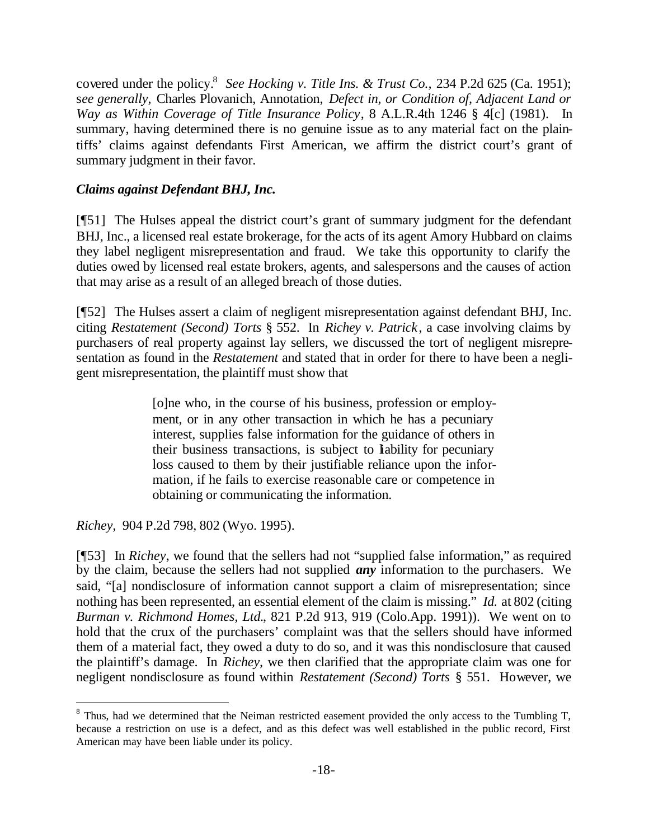covered under the policy.<sup>8</sup> See Hocking v. Title Ins. & Trust Co., 234 P.2d 625 (Ca. 1951); s*ee generally,* Charles Plovanich, Annotation, *Defect in, or Condition of, Adjacent Land or Way as Within Coverage of Title Insurance Policy*, 8 A.L.R.4th 1246 § 4[c] (1981). In summary, having determined there is no genuine issue as to any material fact on the plaintiffs' claims against defendants First American, we affirm the district court's grant of summary judgment in their favor.

### *Claims against Defendant BHJ, Inc.*

[¶51] The Hulses appeal the district court's grant of summary judgment for the defendant BHJ, Inc., a licensed real estate brokerage, for the acts of its agent Amory Hubbard on claims they label negligent misrepresentation and fraud. We take this opportunity to clarify the duties owed by licensed real estate brokers, agents, and salespersons and the causes of action that may arise as a result of an alleged breach of those duties.

[¶52] The Hulses assert a claim of negligent misrepresentation against defendant BHJ, Inc. citing *Restatement (Second) Torts* § 552. In *Richey v. Patrick*, a case involving claims by purchasers of real property against lay sellers, we discussed the tort of negligent misrepresentation as found in the *Restatement* and stated that in order for there to have been a negligent misrepresentation, the plaintiff must show that

> [o]ne who, in the course of his business, profession or employment, or in any other transaction in which he has a pecuniary interest, supplies false information for the guidance of others in their business transactions, is subject to liability for pecuniary loss caused to them by their justifiable reliance upon the information, if he fails to exercise reasonable care or competence in obtaining or communicating the information.

*Richey,* 904 P.2d 798, 802 (Wyo. 1995).

l

[¶53] In *Richey*, we found that the sellers had not "supplied false information," as required by the claim, because the sellers had not supplied *any* information to the purchasers. We said, "[a] nondisclosure of information cannot support a claim of misrepresentation; since nothing has been represented, an essential element of the claim is missing." *Id.* at 802 (citing *Burman v. Richmond Homes, Ltd.*, 821 P.2d 913, 919 (Colo.App. 1991)). We went on to hold that the crux of the purchasers' complaint was that the sellers should have informed them of a material fact, they owed a duty to do so, and it was this nondisclosure that caused the plaintiff's damage. In *Richey,* we then clarified that the appropriate claim was one for negligent nondisclosure as found within *Restatement (Second) Torts* § 551. However, we

 $8$  Thus, had we determined that the Neiman restricted easement provided the only access to the Tumbling T, because a restriction on use is a defect, and as this defect was well established in the public record, First American may have been liable under its policy.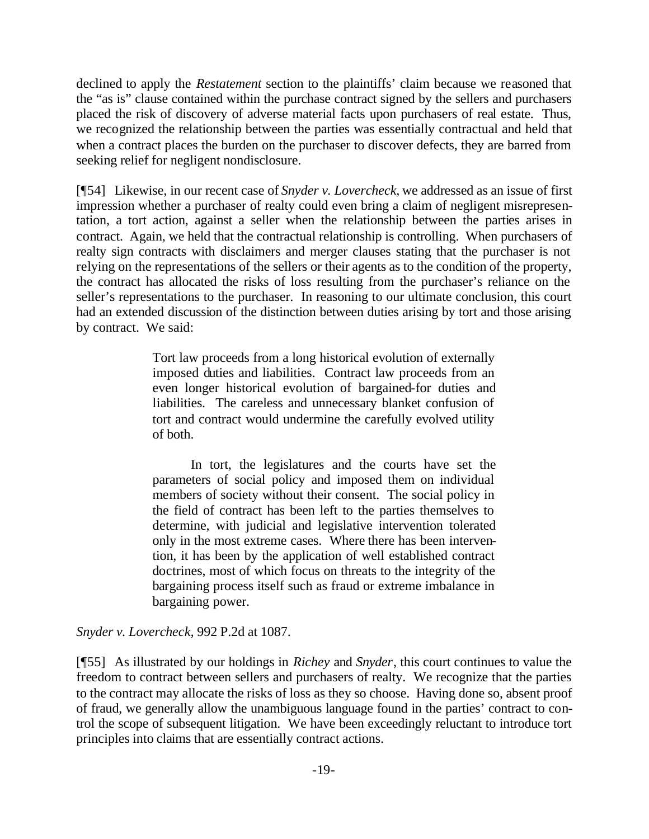declined to apply the *Restatement* section to the plaintiffs' claim because we reasoned that the "as is" clause contained within the purchase contract signed by the sellers and purchasers placed the risk of discovery of adverse material facts upon purchasers of real estate. Thus, we recognized the relationship between the parties was essentially contractual and held that when a contract places the burden on the purchaser to discover defects, they are barred from seeking relief for negligent nondisclosure.

[¶54] Likewise, in our recent case of *Snyder v. Lovercheck,* we addressed as an issue of first impression whether a purchaser of realty could even bring a claim of negligent misrepresentation, a tort action, against a seller when the relationship between the parties arises in contract. Again, we held that the contractual relationship is controlling. When purchasers of realty sign contracts with disclaimers and merger clauses stating that the purchaser is not relying on the representations of the sellers or their agents as to the condition of the property, the contract has allocated the risks of loss resulting from the purchaser's reliance on the seller's representations to the purchaser. In reasoning to our ultimate conclusion, this court had an extended discussion of the distinction between duties arising by tort and those arising by contract. We said:

> Tort law proceeds from a long historical evolution of externally imposed duties and liabilities. Contract law proceeds from an even longer historical evolution of bargained-for duties and liabilities. The careless and unnecessary blanket confusion of tort and contract would undermine the carefully evolved utility of both.

> In tort, the legislatures and the courts have set the parameters of social policy and imposed them on individual members of society without their consent. The social policy in the field of contract has been left to the parties themselves to determine, with judicial and legislative intervention tolerated only in the most extreme cases. Where there has been intervention, it has been by the application of well established contract doctrines, most of which focus on threats to the integrity of the bargaining process itself such as fraud or extreme imbalance in bargaining power.

*Snyder v. Lovercheck,* 992 P.2d at 1087.

[¶55] As illustrated by our holdings in *Richey* and *Snyder*, this court continues to value the freedom to contract between sellers and purchasers of realty. We recognize that the parties to the contract may allocate the risks of loss as they so choose. Having done so, absent proof of fraud, we generally allow the unambiguous language found in the parties' contract to control the scope of subsequent litigation. We have been exceedingly reluctant to introduce tort principles into claims that are essentially contract actions.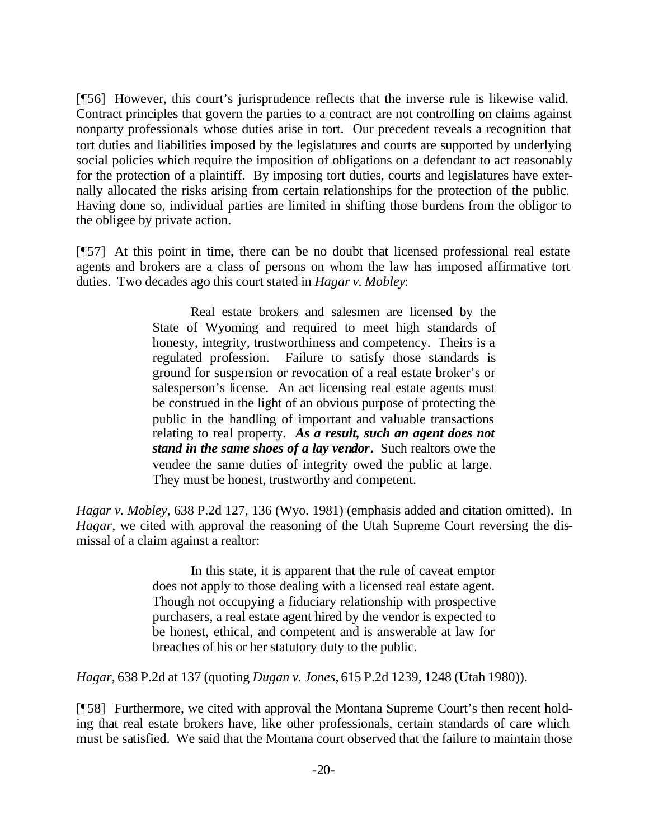[¶56] However, this court's jurisprudence reflects that the inverse rule is likewise valid. Contract principles that govern the parties to a contract are not controlling on claims against nonparty professionals whose duties arise in tort. Our precedent reveals a recognition that tort duties and liabilities imposed by the legislatures and courts are supported by underlying social policies which require the imposition of obligations on a defendant to act reasonably for the protection of a plaintiff. By imposing tort duties, courts and legislatures have externally allocated the risks arising from certain relationships for the protection of the public. Having done so, individual parties are limited in shifting those burdens from the obligor to the obligee by private action.

[¶57] At this point in time, there can be no doubt that licensed professional real estate agents and brokers are a class of persons on whom the law has imposed affirmative tort duties. Two decades ago this court stated in *Hagar v. Mobley*:

> Real estate brokers and salesmen are licensed by the State of Wyoming and required to meet high standards of honesty, integrity, trustworthiness and competency. Theirs is a regulated profession. Failure to satisfy those standards is ground for suspension or revocation of a real estate broker's or salesperson's license. An act licensing real estate agents must be construed in the light of an obvious purpose of protecting the public in the handling of important and valuable transactions relating to real property. *As a result, such an agent does not stand in the same shoes of a lay vendor***.** Such realtors owe the vendee the same duties of integrity owed the public at large. They must be honest, trustworthy and competent.

*Hagar v. Mobley,* 638 P.2d 127, 136 (Wyo. 1981) (emphasis added and citation omitted). In *Hagar*, we cited with approval the reasoning of the Utah Supreme Court reversing the dismissal of a claim against a realtor:

> In this state, it is apparent that the rule of caveat emptor does not apply to those dealing with a licensed real estate agent. Though not occupying a fiduciary relationship with prospective purchasers, a real estate agent hired by the vendor is expected to be honest, ethical, and competent and is answerable at law for breaches of his or her statutory duty to the public.

*Hagar,* 638 P.2d at 137 (quoting *Dugan v. Jones,* 615 P.2d 1239, 1248 (Utah 1980)).

[¶58] Furthermore, we cited with approval the Montana Supreme Court's then recent holding that real estate brokers have, like other professionals, certain standards of care which must be satisfied. We said that the Montana court observed that the failure to maintain those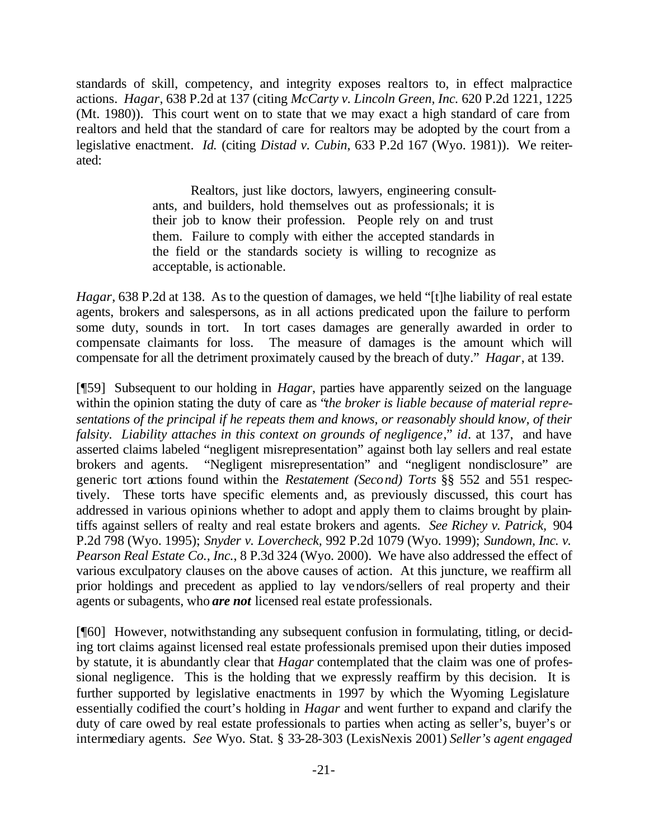standards of skill, competency, and integrity exposes realtors to, in effect malpractice actions. *Hagar*, 638 P.2d at 137 (citing *McCarty v. Lincoln Green, Inc.* 620 P.2d 1221, 1225 (Mt. 1980)). This court went on to state that we may exact a high standard of care from realtors and held that the standard of care for realtors may be adopted by the court from a legislative enactment. *Id.* (citing *Distad v. Cubin*, 633 P.2d 167 (Wyo. 1981)). We reiterated:

> Realtors, just like doctors, lawyers, engineering consultants, and builders, hold themselves out as professionals; it is their job to know their profession. People rely on and trust them. Failure to comply with either the accepted standards in the field or the standards society is willing to recognize as acceptable, is actionable.

*Hagar*, 638 P.2d at 138. As to the question of damages, we held "[t]he liability of real estate agents, brokers and salespersons, as in all actions predicated upon the failure to perform some duty, sounds in tort. In tort cases damages are generally awarded in order to compensate claimants for loss. The measure of damages is the amount which will compensate for all the detriment proximately caused by the breach of duty." *Hagar*, at 139.

[¶59] Subsequent to our holding in *Hagar*, parties have apparently seized on the language within the opinion stating the duty of care as "*the broker is liable because of material representations of the principal if he repeats them and knows, or reasonably should know, of their falsity. Liability attaches in this context on grounds of negligence*," *id.* at 137, and have asserted claims labeled "negligent misrepresentation" against both lay sellers and real estate brokers and agents. "Negligent misrepresentation" and "negligent nondisclosure" are generic tort actions found within the *Restatement (Second) Torts* §§ 552 and 551 respectively. These torts have specific elements and, as previously discussed, this court has addressed in various opinions whether to adopt and apply them to claims brought by plaintiffs against sellers of realty and real estate brokers and agents. *See Richey v. Patrick,* 904 P.2d 798 (Wyo. 1995); *Snyder v. Lovercheck,* 992 P.2d 1079 (Wyo. 1999); *Sundown, Inc. v. Pearson Real Estate Co., Inc.*, 8 P.3d 324 (Wyo. 2000). We have also addressed the effect of various exculpatory clauses on the above causes of action. At this juncture, we reaffirm all prior holdings and precedent as applied to lay vendors/sellers of real property and their agents or subagents, who *are not* licensed real estate professionals.

[¶60] However, notwithstanding any subsequent confusion in formulating, titling, or deciding tort claims against licensed real estate professionals premised upon their duties imposed by statute, it is abundantly clear that *Hagar* contemplated that the claim was one of professional negligence. This is the holding that we expressly reaffirm by this decision. It is further supported by legislative enactments in 1997 by which the Wyoming Legislature essentially codified the court's holding in *Hagar* and went further to expand and clarify the duty of care owed by real estate professionals to parties when acting as seller's, buyer's or intermediary agents. *See* Wyo. Stat. § 33-28-303 (LexisNexis 2001) *Seller's agent engaged*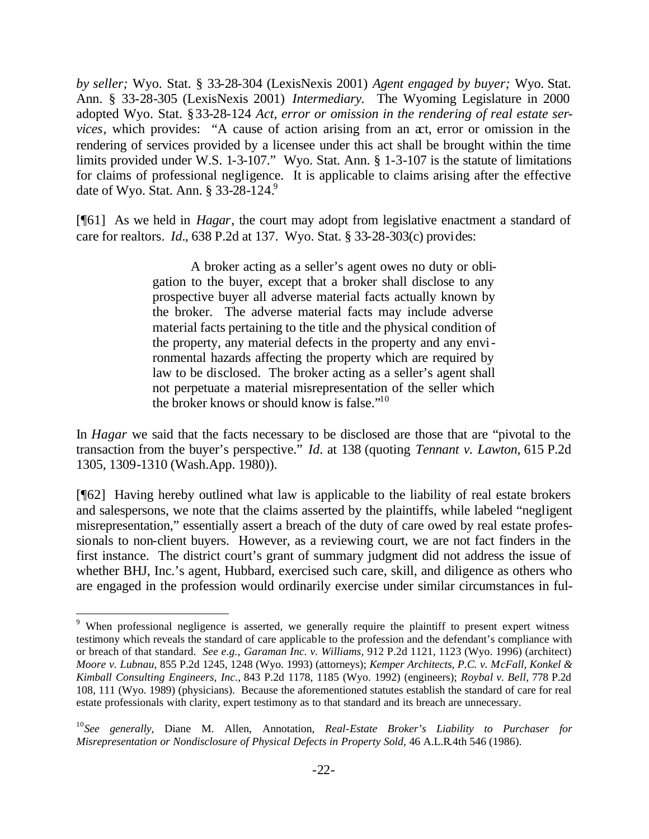*by seller;* Wyo. Stat. § 33-28-304 (LexisNexis 2001) *Agent engaged by buyer;* Wyo. Stat. Ann. § 33-28-305 (LexisNexis 2001) *Intermediary.* The Wyoming Legislature in 2000 adopted Wyo. Stat. §33-28-124 *Act, error or omission in the rendering of real estate services*, which provides: "A cause of action arising from an act, error or omission in the rendering of services provided by a licensee under this act shall be brought within the time limits provided under W.S. 1-3-107." Wyo. Stat. Ann. § 1-3-107 is the statute of limitations for claims of professional negligence. It is applicable to claims arising after the effective date of Wyo. Stat. Ann.  $\S 33-28-124$ .

[¶61] As we held in *Hagar*, the court may adopt from legislative enactment a standard of care for realtors. *Id.*, 638 P.2d at 137. Wyo. Stat. § 33-28-303(c) provides:

> A broker acting as a seller's agent owes no duty or obligation to the buyer, except that a broker shall disclose to any prospective buyer all adverse material facts actually known by the broker. The adverse material facts may include adverse material facts pertaining to the title and the physical condition of the property, any material defects in the property and any environmental hazards affecting the property which are required by law to be disclosed. The broker acting as a seller's agent shall not perpetuate a material misrepresentation of the seller which the broker knows or should know is false."<sup>10</sup>

In *Hagar* we said that the facts necessary to be disclosed are those that are "pivotal to the transaction from the buyer's perspective." *Id.* at 138 (quoting *Tennant v. Lawton*, 615 P.2d 1305, 1309-1310 (Wash.App. 1980)).

[¶62] Having hereby outlined what law is applicable to the liability of real estate brokers and salespersons, we note that the claims asserted by the plaintiffs, while labeled "negligent misrepresentation," essentially assert a breach of the duty of care owed by real estate professionals to non-client buyers. However, as a reviewing court, we are not fact finders in the first instance. The district court's grant of summary judgment did not address the issue of whether BHJ, Inc.'s agent, Hubbard, exercised such care, skill, and diligence as others who are engaged in the profession would ordinarily exercise under similar circumstances in ful-

<sup>&</sup>lt;sup>9</sup> When professional negligence is asserted, we generally require the plaintiff to present expert witness testimony which reveals the standard of care applicable to the profession and the defendant's compliance with or breach of that standard. *See e.g.*, *Garaman Inc. v. Williams,* 912 P.2d 1121, 1123 (Wyo. 1996) (architect) *Moore v. Lubnau*, 855 P.2d 1245, 1248 (Wyo. 1993) (attorneys); *Kemper Architects, P.C. v. McFall, Konkel & Kimball Consulting Engineers, Inc.,* 843 P.2d 1178, 1185 (Wyo. 1992) (engineers); *Roybal v. Bell*, 778 P.2d 108, 111 (Wyo. 1989) (physicians). Because the aforementioned statutes establish the standard of care for real estate professionals with clarity, expert testimony as to that standard and its breach are unnecessary.

<sup>10</sup>*See generally,* Diane M. Allen, Annotation, *Real-Estate Broker's Liability to Purchaser for Misrepresentation or Nondisclosure of Physical Defects in Property Sold,* 46 A.L.R.4th 546 (1986).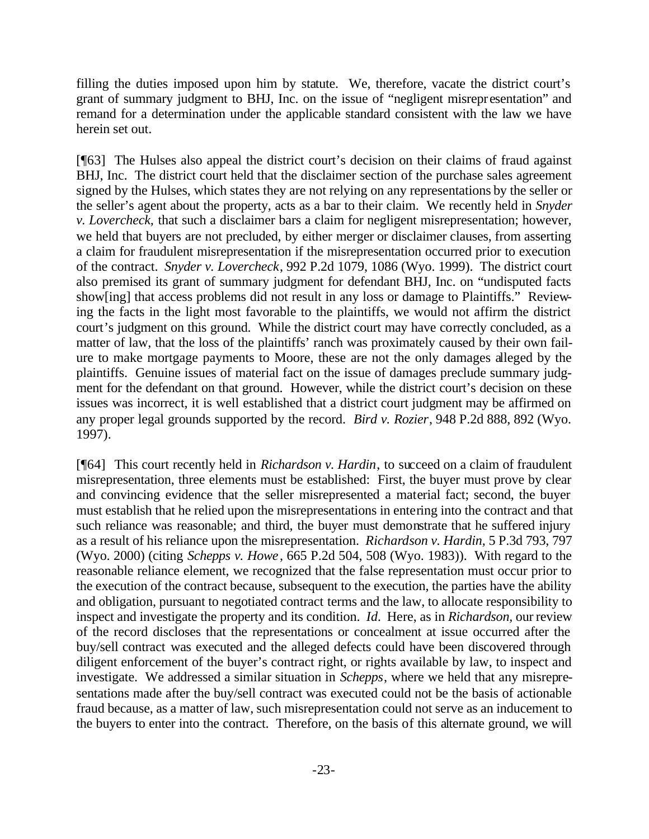filling the duties imposed upon him by statute. We, therefore, vacate the district court's grant of summary judgment to BHJ, Inc. on the issue of "negligent misrepresentation" and remand for a determination under the applicable standard consistent with the law we have herein set out.

[¶63] The Hulses also appeal the district court's decision on their claims of fraud against BHJ, Inc. The district court held that the disclaimer section of the purchase sales agreement signed by the Hulses, which states they are not relying on any representations by the seller or the seller's agent about the property, acts as a bar to their claim. We recently held in *Snyder v. Lovercheck,* that such a disclaimer bars a claim for negligent misrepresentation; however, we held that buyers are not precluded, by either merger or disclaimer clauses, from asserting a claim for fraudulent misrepresentation if the misrepresentation occurred prior to execution of the contract. *Snyder v. Lovercheck*, 992 P.2d 1079, 1086 (Wyo. 1999). The district court also premised its grant of summary judgment for defendant BHJ, Inc. on "undisputed facts show[ing] that access problems did not result in any loss or damage to Plaintiffs." Reviewing the facts in the light most favorable to the plaintiffs, we would not affirm the district court's judgment on this ground. While the district court may have correctly concluded, as a matter of law, that the loss of the plaintiffs' ranch was proximately caused by their own failure to make mortgage payments to Moore, these are not the only damages alleged by the plaintiffs. Genuine issues of material fact on the issue of damages preclude summary judgment for the defendant on that ground. However, while the district court's decision on these issues was incorrect, it is well established that a district court judgment may be affirmed on any proper legal grounds supported by the record. *Bird v. Rozier*, 948 P.2d 888, 892 (Wyo. 1997).

[¶64] This court recently held in *Richardson v. Hardin*, to succeed on a claim of fraudulent misrepresentation, three elements must be established: First, the buyer must prove by clear and convincing evidence that the seller misrepresented a material fact; second, the buyer must establish that he relied upon the misrepresentations in entering into the contract and that such reliance was reasonable; and third, the buyer must demonstrate that he suffered injury as a result of his reliance upon the misrepresentation. *Richardson v. Hardin,* 5 P.3d 793, 797 (Wyo. 2000) (citing *Schepps v. Howe*, 665 P.2d 504, 508 (Wyo. 1983)). With regard to the reasonable reliance element, we recognized that the false representation must occur prior to the execution of the contract because, subsequent to the execution, the parties have the ability and obligation, pursuant to negotiated contract terms and the law, to allocate responsibility to inspect and investigate the property and its condition. *Id.* Here, as in *Richardson,* our review of the record discloses that the representations or concealment at issue occurred after the buy/sell contract was executed and the alleged defects could have been discovered through diligent enforcement of the buyer's contract right, or rights available by law, to inspect and investigate. We addressed a similar situation in *Schepps*, where we held that any misrepresentations made after the buy/sell contract was executed could not be the basis of actionable fraud because, as a matter of law, such misrepresentation could not serve as an inducement to the buyers to enter into the contract. Therefore, on the basis of this alternate ground, we will